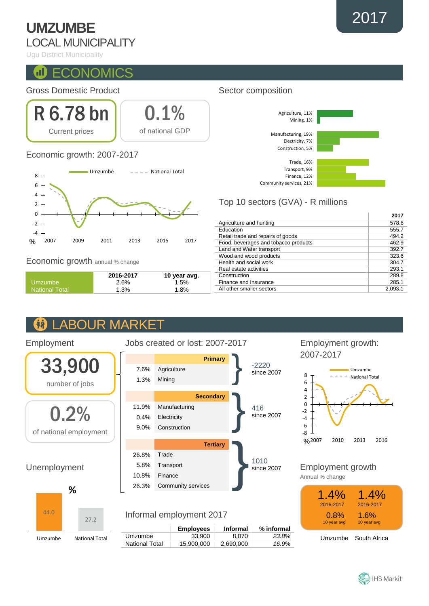# **UMZUMBE** LOCAL MUNICIPALITY

Ugu District Municipality

#### Œ **ECONOMICS**

### Gross Domestic Product



### Economic growth: 2007-2017



Economic growth annual % change

Employment

44.0

Umzumbe National Total

|                       | 2016-2017 | 10 year avg. |
|-----------------------|-----------|--------------|
| Umzumbe               | 2.6%      | 1.5%         |
| <b>National Total</b> | 1.3%      | 1.8%         |

### **ABOUR MARKET AA**



### **Employees Informal % informal** Umzumbe | 33,900 8,070 23.8% National Total 15,900,000 2,690,000 *16.9*%

### Sector composition



## Top 10 sectors (GVA) - R millions

|                                      | 2017    |
|--------------------------------------|---------|
| Agriculture and hunting              | 578.6   |
| Education                            | 555.7   |
| Retail trade and repairs of goods    | 494.2   |
| Food, beverages and tobacco products | 462.9   |
| Land and Water transport             | 392.7   |
| Wood and wood products               | 323.6   |
| Health and social work               | 304.7   |
| Real estate activities               | 293.1   |
| Construction                         | 289.8   |
| Finance and Insurance                | 285.1   |
| All other smaller sectors            | 2.093.1 |

### Employment growth: 2007-2017



Employment growth

Annual % change

| 1.4%<br>2016-2017<br>0.8%<br>10 year avg | $1.4\%$<br>2016-2017<br>$1.6\%$<br>10 year avg |  |
|------------------------------------------|------------------------------------------------|--|
|                                          | Umzumbe South Africa                           |  |



2017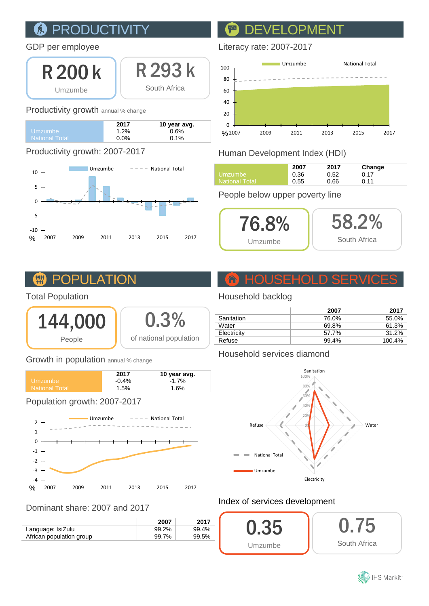### PRODUCTIVI 凤

### GDP per employee

R 200 k Umzumbe

R 293 k South Africa

### Productivity growth annual % change

|                | 2017    | 10 year avg. |
|----------------|---------|--------------|
| Umzumbe.       | 1.2%    | 0.6%         |
| National Total | $0.0\%$ | $0.1\%$      |

# Productivity growth: 2007-2017



# DEVELOPMENT

### Literacy rate: 2007-2017



# Human Development Index (HDI)

|                    | 2007 | 2017 | Change |
|--------------------|------|------|--------|
| Umzumbe            | 0.36 | 0.52 | 0.17   |
| ا National Total I | 0.55 | 0.66 | 0.11   |

### People below upper poverty line



#### **TITLE** POPU

## Total Population



### Growth in population annual % change

|                       | 2017    | 10 year avg. |
|-----------------------|---------|--------------|
| ∟Umzumbe              | $-0.4%$ | $-1.7%$      |
| <b>National Total</b> | 1.5%    | $1.6\%$      |
|                       |         |              |

Population growth: 2007-2017



### Dominant share: 2007 and 2017

|                          | 2007  | 2017  |
|--------------------------|-------|-------|
| Language: IsiZulu        | 99.2% | 99.4% |
| African population group | 99.7% | 99.5% |

# HOUSEHOLD SERVICES

## Household backlog

| 2007  | 2017   |
|-------|--------|
| 76.0% | 55.0%  |
| 69.8% | 61.3%  |
| 57.7% | 31.2%  |
| 99.4% | 100.4% |
|       |        |

### Household services diamond



## Index of services development